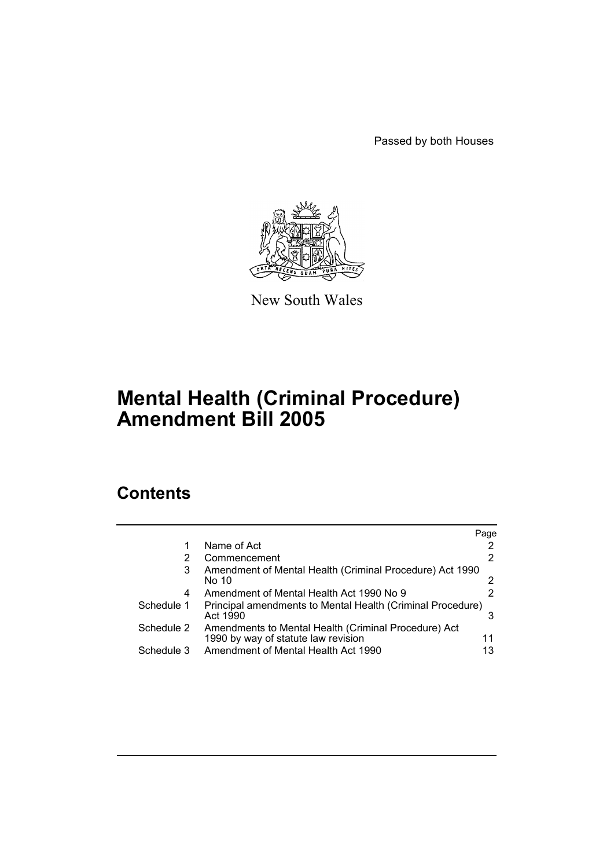Passed by both Houses



New South Wales

# **Mental Health (Criminal Procedure) Amendment Bill 2005**

# **Contents**

|            |                                                                                             | Page |
|------------|---------------------------------------------------------------------------------------------|------|
|            | Name of Act                                                                                 |      |
| 2          | Commencement                                                                                | 2    |
| 3          | Amendment of Mental Health (Criminal Procedure) Act 1990<br>No 10                           |      |
| 4          | Amendment of Mental Health Act 1990 No 9                                                    |      |
| Schedule 1 | Principal amendments to Mental Health (Criminal Procedure)<br>Act 1990                      |      |
| Schedule 2 | Amendments to Mental Health (Criminal Procedure) Act<br>1990 by way of statute law revision | 11   |
| Schedule 3 | Amendment of Mental Health Act 1990                                                         | 13   |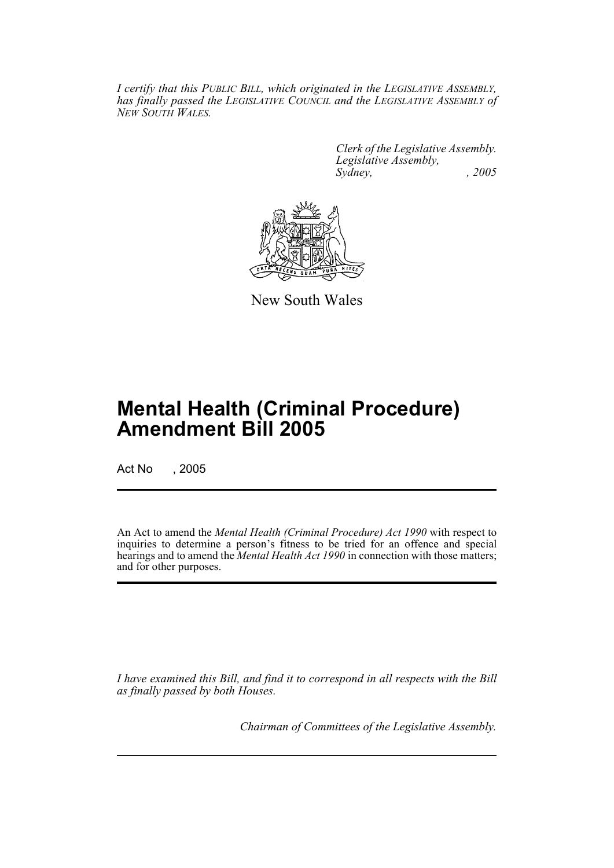*I certify that this PUBLIC BILL, which originated in the LEGISLATIVE ASSEMBLY, has finally passed the LEGISLATIVE COUNCIL and the LEGISLATIVE ASSEMBLY of NEW SOUTH WALES.*

> *Clerk of the Legislative Assembly. Legislative Assembly, Sydney, , 2005*



New South Wales

# **Mental Health (Criminal Procedure) Amendment Bill 2005**

Act No , 2005

An Act to amend the *Mental Health (Criminal Procedure) Act 1990* with respect to inquiries to determine a person's fitness to be tried for an offence and special hearings and to amend the *Mental Health Act 1990* in connection with those matters; and for other purposes.

*I have examined this Bill, and find it to correspond in all respects with the Bill as finally passed by both Houses.*

*Chairman of Committees of the Legislative Assembly.*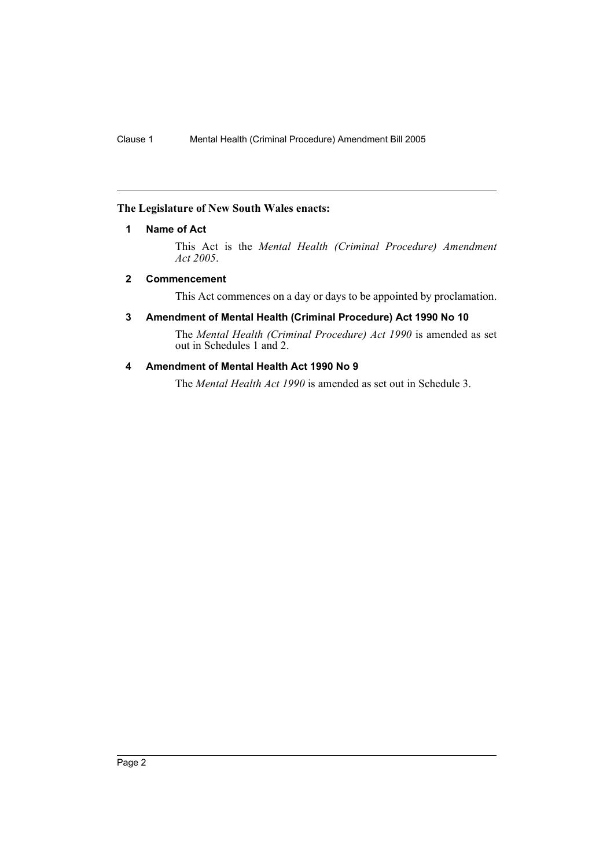## **The Legislature of New South Wales enacts:**

## **1 Name of Act**

This Act is the *Mental Health (Criminal Procedure) Amendment Act 2005*.

## **2 Commencement**

This Act commences on a day or days to be appointed by proclamation.

## **3 Amendment of Mental Health (Criminal Procedure) Act 1990 No 10**

The *Mental Health (Criminal Procedure) Act 1990* is amended as set out in Schedules 1 and 2.

## **4 Amendment of Mental Health Act 1990 No 9**

The *Mental Health Act 1990* is amended as set out in Schedule 3.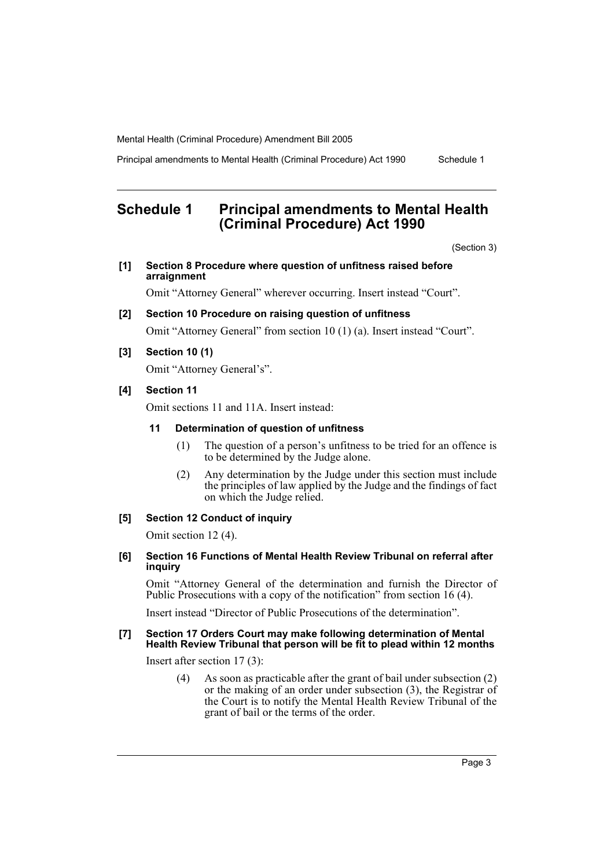Principal amendments to Mental Health (Criminal Procedure) Act 1990 Schedule 1

# **Schedule 1 Principal amendments to Mental Health (Criminal Procedure) Act 1990**

(Section 3)

**[1] Section 8 Procedure where question of unfitness raised before arraignment**

Omit "Attorney General" wherever occurring. Insert instead "Court".

- **[2] Section 10 Procedure on raising question of unfitness**  Omit "Attorney General" from section 10 (1) (a). Insert instead "Court".
- **[3] Section 10 (1)**

Omit "Attorney General's".

## **[4] Section 11**

Omit sections 11 and 11A. Insert instead:

## **11 Determination of question of unfitness**

- (1) The question of a person's unfitness to be tried for an offence is to be determined by the Judge alone.
- (2) Any determination by the Judge under this section must include the principles of law applied by the Judge and the findings of fact on which the Judge relied.

## **[5] Section 12 Conduct of inquiry**

Omit section 12 (4).

#### **[6] Section 16 Functions of Mental Health Review Tribunal on referral after inquiry**

Omit "Attorney General of the determination and furnish the Director of Public Prosecutions with a copy of the notification" from section 16 (4).

Insert instead "Director of Public Prosecutions of the determination".

#### **[7] Section 17 Orders Court may make following determination of Mental Health Review Tribunal that person will be fit to plead within 12 months**

Insert after section 17 (3):

(4) As soon as practicable after the grant of bail under subsection (2) or the making of an order under subsection (3), the Registrar of the Court is to notify the Mental Health Review Tribunal of the grant of bail or the terms of the order.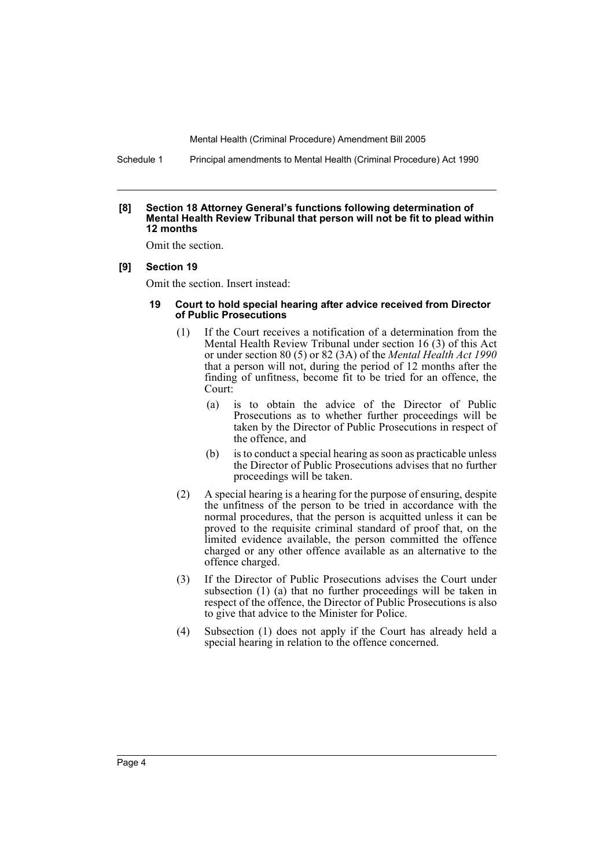Schedule 1 Principal amendments to Mental Health (Criminal Procedure) Act 1990

#### **[8] Section 18 Attorney General's functions following determination of Mental Health Review Tribunal that person will not be fit to plead within 12 months**

Omit the section.

#### **[9] Section 19**

Omit the section. Insert instead:

#### **19 Court to hold special hearing after advice received from Director of Public Prosecutions**

- (1) If the Court receives a notification of a determination from the Mental Health Review Tribunal under section 16 (3) of this Act or under section 80 (5) or 82 (3A) of the *Mental Health Act 1990* that a person will not, during the period of 12 months after the finding of unfitness, become fit to be tried for an offence, the Court:
	- (a) is to obtain the advice of the Director of Public Prosecutions as to whether further proceedings will be taken by the Director of Public Prosecutions in respect of the offence, and
	- (b) is to conduct a special hearing as soon as practicable unless the Director of Public Prosecutions advises that no further proceedings will be taken.
- (2) A special hearing is a hearing for the purpose of ensuring, despite the unfitness of the person to be tried in accordance with the normal procedures, that the person is acquitted unless it can be proved to the requisite criminal standard of proof that, on the limited evidence available, the person committed the offence charged or any other offence available as an alternative to the offence charged.
- (3) If the Director of Public Prosecutions advises the Court under subsection (1) (a) that no further proceedings will be taken in respect of the offence, the Director of Public Prosecutions is also to give that advice to the Minister for Police.
- (4) Subsection (1) does not apply if the Court has already held a special hearing in relation to the offence concerned.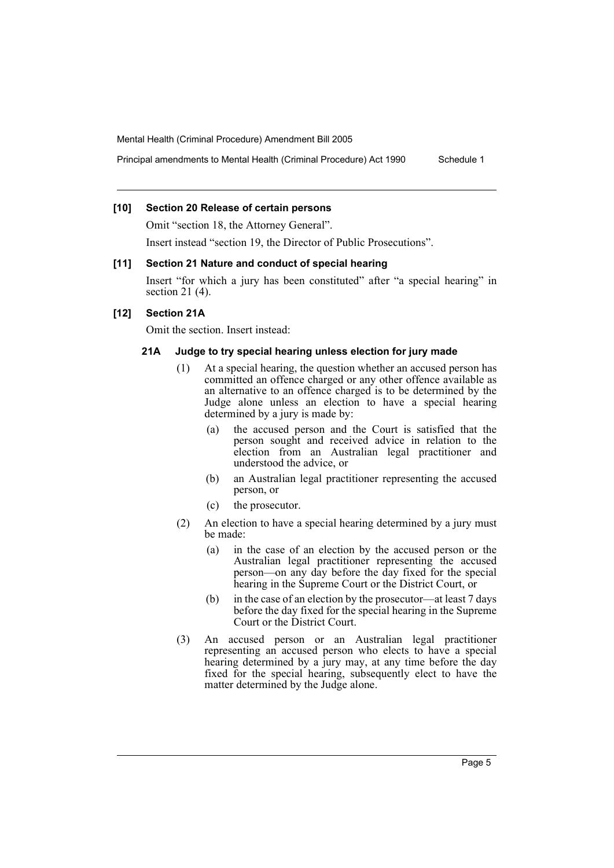Principal amendments to Mental Health (Criminal Procedure) Act 1990 Schedule 1

## **[10] Section 20 Release of certain persons**

Omit "section 18, the Attorney General".

Insert instead "section 19, the Director of Public Prosecutions".

#### **[11] Section 21 Nature and conduct of special hearing**

Insert "for which a jury has been constituted" after "a special hearing" in section 21 (4).

## **[12] Section 21A**

Omit the section. Insert instead:

#### **21A Judge to try special hearing unless election for jury made**

- (1) At a special hearing, the question whether an accused person has committed an offence charged or any other offence available as an alternative to an offence charged is to be determined by the Judge alone unless an election to have a special hearing determined by a jury is made by:
	- (a) the accused person and the Court is satisfied that the person sought and received advice in relation to the election from an Australian legal practitioner and understood the advice, or
	- (b) an Australian legal practitioner representing the accused person, or
	- (c) the prosecutor.
- (2) An election to have a special hearing determined by a jury must be made:
	- (a) in the case of an election by the accused person or the Australian legal practitioner representing the accused person—on any day before the day fixed for the special hearing in the Supreme Court or the District Court, or
	- (b) in the case of an election by the prosecutor—at least 7 days before the day fixed for the special hearing in the Supreme Court or the District Court.
- (3) An accused person or an Australian legal practitioner representing an accused person who elects to have a special hearing determined by a jury may, at any time before the day fixed for the special hearing, subsequently elect to have the matter determined by the Judge alone.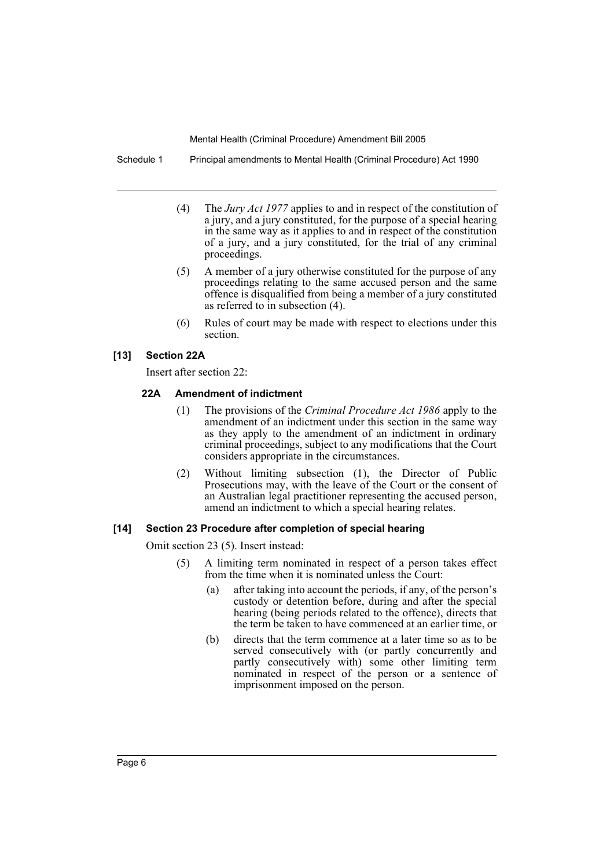Schedule 1 Principal amendments to Mental Health (Criminal Procedure) Act 1990

- (4) The *Jury Act 1977* applies to and in respect of the constitution of a jury, and a jury constituted, for the purpose of a special hearing in the same way as it applies to and in respect of the constitution of a jury, and a jury constituted, for the trial of any criminal proceedings.
- (5) A member of a jury otherwise constituted for the purpose of any proceedings relating to the same accused person and the same offence is disqualified from being a member of a jury constituted as referred to in subsection (4).
- (6) Rules of court may be made with respect to elections under this section.

## **[13] Section 22A**

Insert after section 22:

## **22A Amendment of indictment**

- (1) The provisions of the *Criminal Procedure Act 1986* apply to the amendment of an indictment under this section in the same way as they apply to the amendment of an indictment in ordinary criminal proceedings, subject to any modifications that the Court considers appropriate in the circumstances.
- (2) Without limiting subsection (1), the Director of Public Prosecutions may, with the leave of the Court or the consent of an Australian legal practitioner representing the accused person, amend an indictment to which a special hearing relates.

## **[14] Section 23 Procedure after completion of special hearing**

Omit section 23 (5). Insert instead:

- (5) A limiting term nominated in respect of a person takes effect from the time when it is nominated unless the Court:
	- (a) after taking into account the periods, if any, of the person's custody or detention before, during and after the special hearing (being periods related to the offence), directs that the term be taken to have commenced at an earlier time, or
	- (b) directs that the term commence at a later time so as to be served consecutively with (or partly concurrently and partly consecutively with) some other limiting term nominated in respect of the person or a sentence of imprisonment imposed on the person.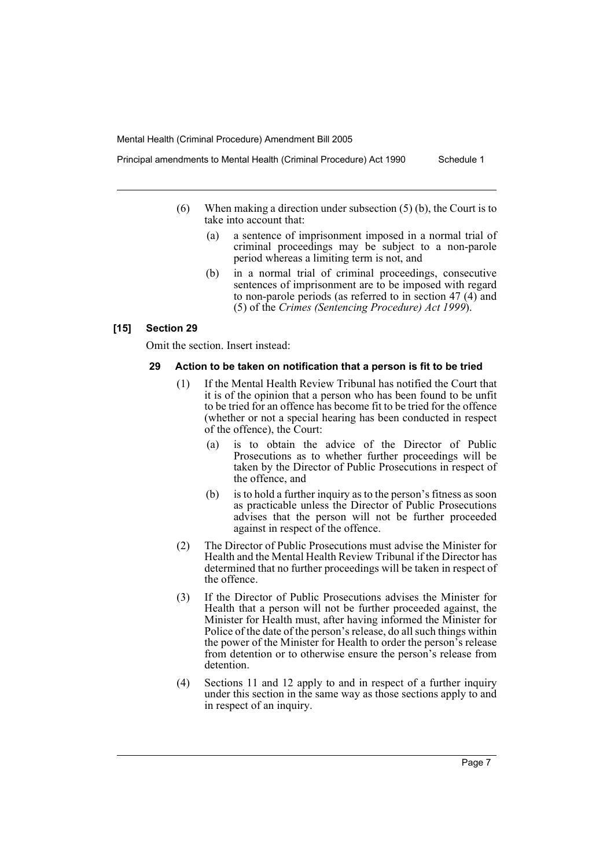(6) When making a direction under subsection (5) (b), the Court is to

take into account that:

- (a) a sentence of imprisonment imposed in a normal trial of criminal proceedings may be subject to a non-parole period whereas a limiting term is not, and
- (b) in a normal trial of criminal proceedings, consecutive sentences of imprisonment are to be imposed with regard to non-parole periods (as referred to in section 47 (4) and (5) of the *Crimes (Sentencing Procedure) Act 1999*).

#### **[15] Section 29**

Omit the section. Insert instead:

#### **29 Action to be taken on notification that a person is fit to be tried**

- (1) If the Mental Health Review Tribunal has notified the Court that it is of the opinion that a person who has been found to be unfit to be tried for an offence has become fit to be tried for the offence (whether or not a special hearing has been conducted in respect of the offence), the Court:
	- (a) is to obtain the advice of the Director of Public Prosecutions as to whether further proceedings will be taken by the Director of Public Prosecutions in respect of the offence, and
	- (b) is to hold a further inquiry as to the person's fitness as soon as practicable unless the Director of Public Prosecutions advises that the person will not be further proceeded against in respect of the offence.
- (2) The Director of Public Prosecutions must advise the Minister for Health and the Mental Health Review Tribunal if the Director has determined that no further proceedings will be taken in respect of the offence.
- (3) If the Director of Public Prosecutions advises the Minister for Health that a person will not be further proceeded against, the Minister for Health must, after having informed the Minister for Police of the date of the person's release, do all such things within the power of the Minister for Health to order the person's release from detention or to otherwise ensure the person's release from detention.
- (4) Sections 11 and 12 apply to and in respect of a further inquiry under this section in the same way as those sections apply to and in respect of an inquiry.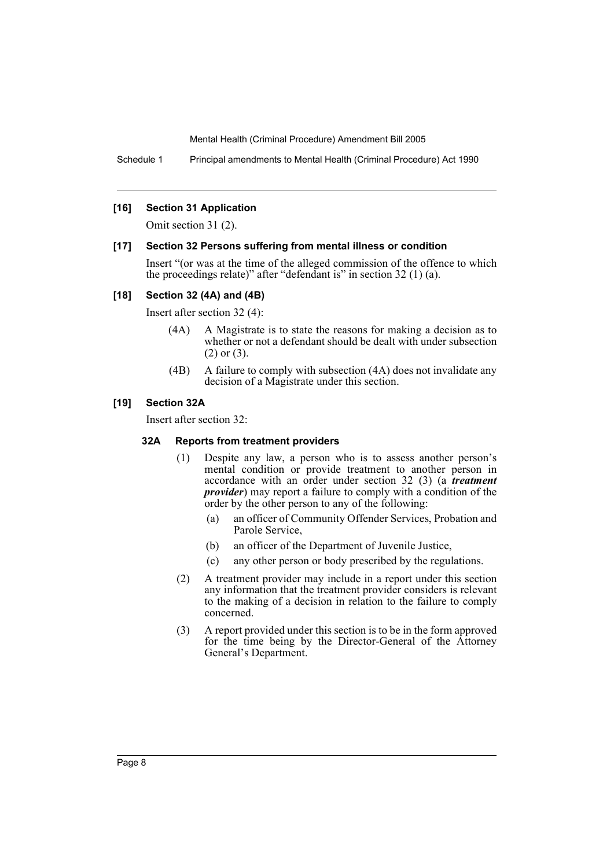Schedule 1 Principal amendments to Mental Health (Criminal Procedure) Act 1990

## **[16] Section 31 Application**

Omit section 31 (2).

#### **[17] Section 32 Persons suffering from mental illness or condition**

Insert "(or was at the time of the alleged commission of the offence to which the proceedings relate)" after "defendant is" in section 32 (1) (a).

## **[18] Section 32 (4A) and (4B)**

Insert after section 32 (4):

- (4A) A Magistrate is to state the reasons for making a decision as to whether or not a defendant should be dealt with under subsection (2) or (3).
- (4B) A failure to comply with subsection (4A) does not invalidate any decision of a Magistrate under this section.

## **[19] Section 32A**

Insert after section 32:

#### **32A Reports from treatment providers**

- (1) Despite any law, a person who is to assess another person's mental condition or provide treatment to another person in accordance with an order under section 32 (3) (a *treatment provider*) may report a failure to comply with a condition of the order by the other person to any of the following:
	- (a) an officer of Community Offender Services, Probation and Parole Service,
	- (b) an officer of the Department of Juvenile Justice,
	- (c) any other person or body prescribed by the regulations.
- (2) A treatment provider may include in a report under this section any information that the treatment provider considers is relevant to the making of a decision in relation to the failure to comply concerned.
- (3) A report provided under this section is to be in the form approved for the time being by the Director-General of the Attorney General's Department.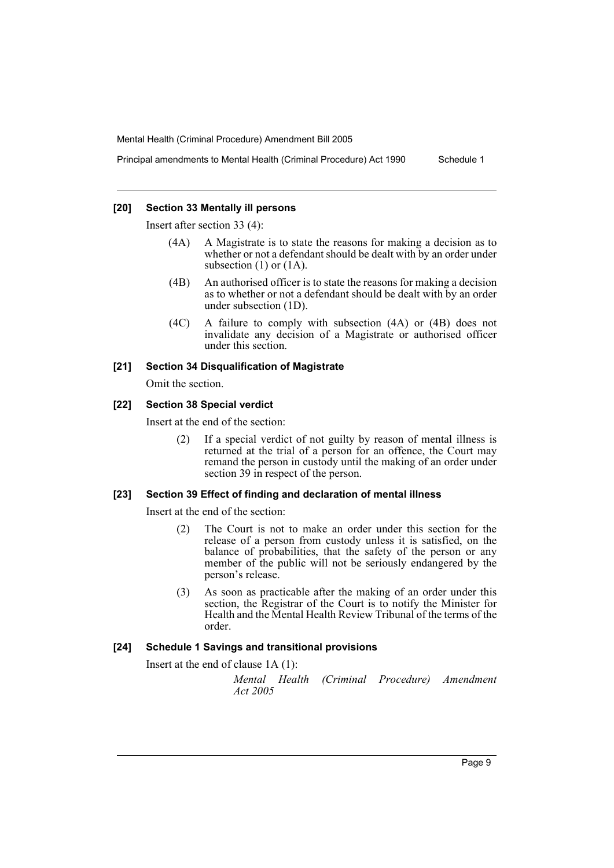Principal amendments to Mental Health (Criminal Procedure) Act 1990 Schedule 1

## **[20] Section 33 Mentally ill persons**

Insert after section 33 (4):

- (4A) A Magistrate is to state the reasons for making a decision as to whether or not a defendant should be dealt with by an order under subsection  $(1)$  or  $(1A)$ .
- (4B) An authorised officer is to state the reasons for making a decision as to whether or not a defendant should be dealt with by an order under subsection (1D).
- (4C) A failure to comply with subsection (4A) or (4B) does not invalidate any decision of a Magistrate or authorised officer under this section.

## **[21] Section 34 Disqualification of Magistrate**

Omit the section.

## **[22] Section 38 Special verdict**

Insert at the end of the section:

(2) If a special verdict of not guilty by reason of mental illness is returned at the trial of a person for an offence, the Court may remand the person in custody until the making of an order under section 39 in respect of the person.

## **[23] Section 39 Effect of finding and declaration of mental illness**

Insert at the end of the section:

- (2) The Court is not to make an order under this section for the release of a person from custody unless it is satisfied, on the balance of probabilities, that the safety of the person or any member of the public will not be seriously endangered by the person's release.
- (3) As soon as practicable after the making of an order under this section, the Registrar of the Court is to notify the Minister for Health and the Mental Health Review Tribunal of the terms of the order.

## **[24] Schedule 1 Savings and transitional provisions**

Insert at the end of clause 1A (1):

*Mental Health (Criminal Procedure) Amendment Act 2005*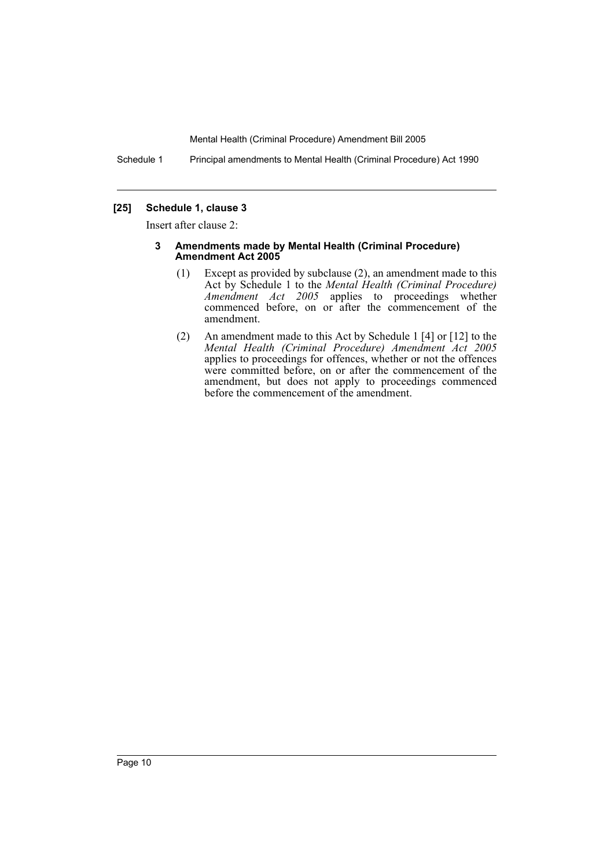Schedule 1 Principal amendments to Mental Health (Criminal Procedure) Act 1990

## **[25] Schedule 1, clause 3**

Insert after clause 2:

#### **3 Amendments made by Mental Health (Criminal Procedure) Amendment Act 2005**

- (1) Except as provided by subclause (2), an amendment made to this Act by Schedule 1 to the *Mental Health (Criminal Procedure) Amendment Act 2005* applies to proceedings whether commenced before, on or after the commencement of the amendment.
- (2) An amendment made to this Act by Schedule 1 [4] or [12] to the *Mental Health (Criminal Procedure) Amendment Act 2005* applies to proceedings for offences, whether or not the offences were committed before, on or after the commencement of the amendment, but does not apply to proceedings commenced before the commencement of the amendment.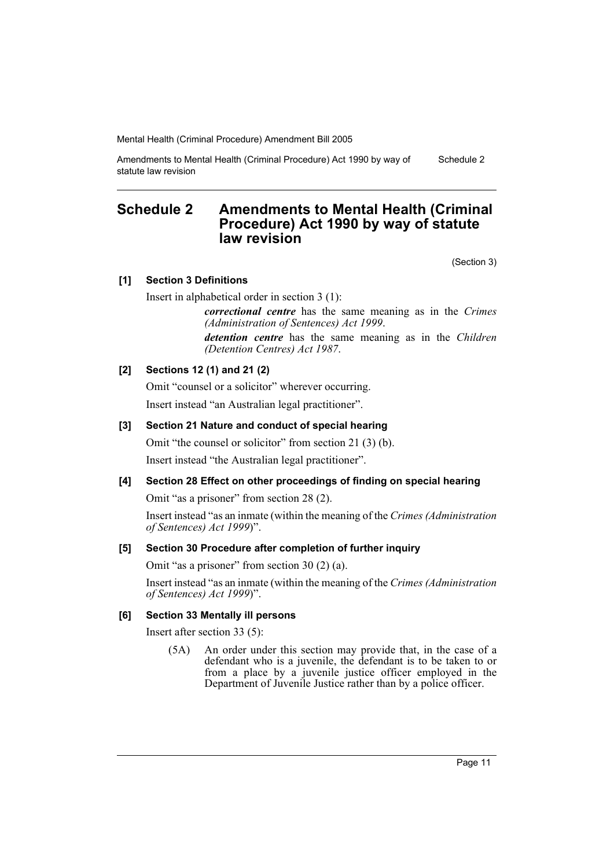Amendments to Mental Health (Criminal Procedure) Act 1990 by way of statute law revision Schedule 2

## **Schedule 2 Amendments to Mental Health (Criminal Procedure) Act 1990 by way of statute law revision**

(Section 3)

## **[1] Section 3 Definitions**

Insert in alphabetical order in section 3 (1):

*correctional centre* has the same meaning as in the *Crimes (Administration of Sentences) Act 1999*.

*detention centre* has the same meaning as in the *Children (Detention Centres) Act 1987*.

## **[2] Sections 12 (1) and 21 (2)**

Omit "counsel or a solicitor" wherever occurring. Insert instead "an Australian legal practitioner".

## **[3] Section 21 Nature and conduct of special hearing**

Omit "the counsel or solicitor" from section 21 (3) (b). Insert instead "the Australian legal practitioner".

## **[4] Section 28 Effect on other proceedings of finding on special hearing**

Omit "as a prisoner" from section 28 (2).

Insert instead "as an inmate (within the meaning of the *Crimes (Administration of Sentences) Act 1999*)".

## **[5] Section 30 Procedure after completion of further inquiry**

Omit "as a prisoner" from section 30 (2) (a).

Insert instead "as an inmate (within the meaning of the *Crimes (Administration of Sentences) Act 1999*)".

## **[6] Section 33 Mentally ill persons**

Insert after section 33 (5):

(5A) An order under this section may provide that, in the case of a defendant who is a juvenile, the defendant is to be taken to or from a place by a juvenile justice officer employed in the Department of Juvenile Justice rather than by a police officer.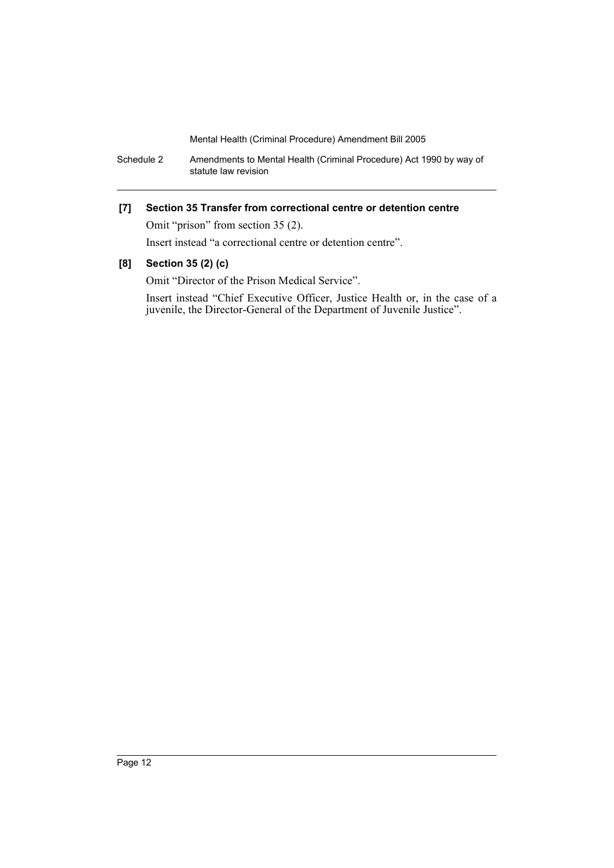Schedule 2 Amendments to Mental Health (Criminal Procedure) Act 1990 by way of statute law revision

## **[7] Section 35 Transfer from correctional centre or detention centre**

Omit "prison" from section 35 (2).

Insert instead "a correctional centre or detention centre".

## **[8] Section 35 (2) (c)**

Omit "Director of the Prison Medical Service".

Insert instead "Chief Executive Officer, Justice Health or, in the case of a juvenile, the Director-General of the Department of Juvenile Justice".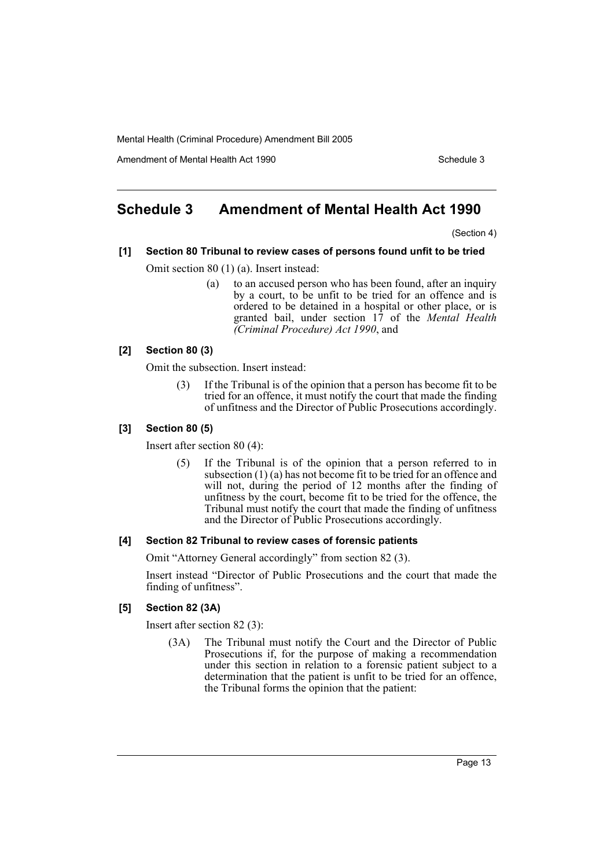Amendment of Mental Health Act 1990 Schedule 3

# **Schedule 3 Amendment of Mental Health Act 1990**

(Section 4)

# **[1] Section 80 Tribunal to review cases of persons found unfit to be tried**

Omit section 80 (1) (a). Insert instead:

(a) to an accused person who has been found, after an inquiry by a court, to be unfit to be tried for an offence and is ordered to be detained in a hospital or other place, or is granted bail, under section 17 of the *Mental Health (Criminal Procedure) Act 1990*, and

## **[2] Section 80 (3)**

Omit the subsection. Insert instead:

(3) If the Tribunal is of the opinion that a person has become fit to be tried for an offence, it must notify the court that made the finding of unfitness and the Director of Public Prosecutions accordingly.

## **[3] Section 80 (5)**

Insert after section 80 (4):

(5) If the Tribunal is of the opinion that a person referred to in subsection (1) (a) has not become fit to be tried for an offence and will not, during the period of 12 months after the finding of unfitness by the court, become fit to be tried for the offence, the Tribunal must notify the court that made the finding of unfitness and the Director of Public Prosecutions accordingly.

## **[4] Section 82 Tribunal to review cases of forensic patients**

Omit "Attorney General accordingly" from section 82 (3).

Insert instead "Director of Public Prosecutions and the court that made the finding of unfitness".

## **[5] Section 82 (3A)**

Insert after section 82 (3):

(3A) The Tribunal must notify the Court and the Director of Public Prosecutions if, for the purpose of making a recommendation under this section in relation to a forensic patient subject to a determination that the patient is unfit to be tried for an offence, the Tribunal forms the opinion that the patient: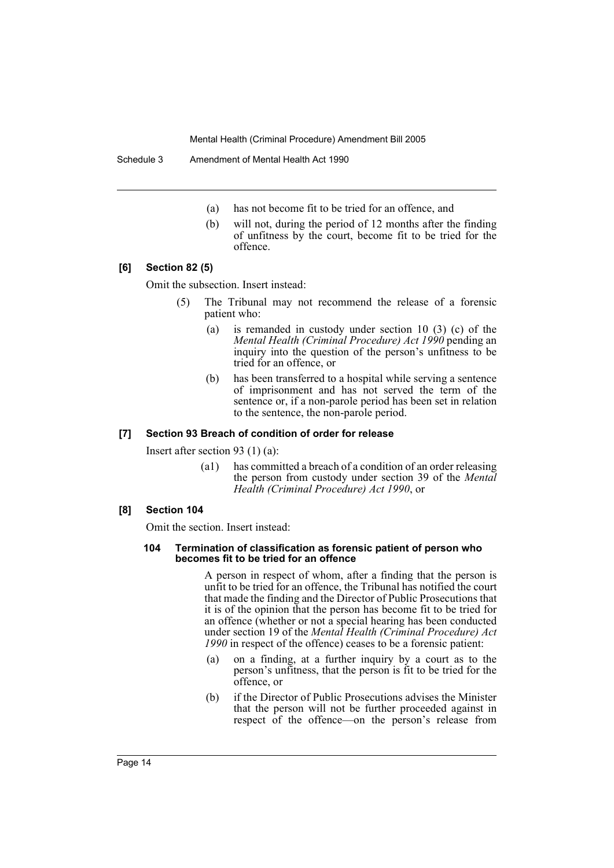Schedule 3 Amendment of Mental Health Act 1990

- (a) has not become fit to be tried for an offence, and
- (b) will not, during the period of 12 months after the finding of unfitness by the court, become fit to be tried for the offence.

## **[6] Section 82 (5)**

Omit the subsection. Insert instead:

- (5) The Tribunal may not recommend the release of a forensic patient who:
	- (a) is remanded in custody under section 10 (3) (c) of the *Mental Health (Criminal Procedure) Act 1990* pending an inquiry into the question of the person's unfitness to be tried for an offence, or
	- (b) has been transferred to a hospital while serving a sentence of imprisonment and has not served the term of the sentence or, if a non-parole period has been set in relation to the sentence, the non-parole period.

#### **[7] Section 93 Breach of condition of order for release**

Insert after section 93 (1) (a):

(a1) has committed a breach of a condition of an order releasing the person from custody under section 39 of the *Mental Health (Criminal Procedure) Act 1990*, or

#### **[8] Section 104**

Omit the section. Insert instead:

#### **104 Termination of classification as forensic patient of person who becomes fit to be tried for an offence**

A person in respect of whom, after a finding that the person is unfit to be tried for an offence, the Tribunal has notified the court that made the finding and the Director of Public Prosecutions that it is of the opinion that the person has become fit to be tried for an offence (whether or not a special hearing has been conducted under section 19 of the *Mental Health (Criminal Procedure) Act 1990* in respect of the offence) ceases to be a forensic patient:

- (a) on a finding, at a further inquiry by a court as to the person's unfitness, that the person is fit to be tried for the offence, or
- (b) if the Director of Public Prosecutions advises the Minister that the person will not be further proceeded against in respect of the offence—on the person's release from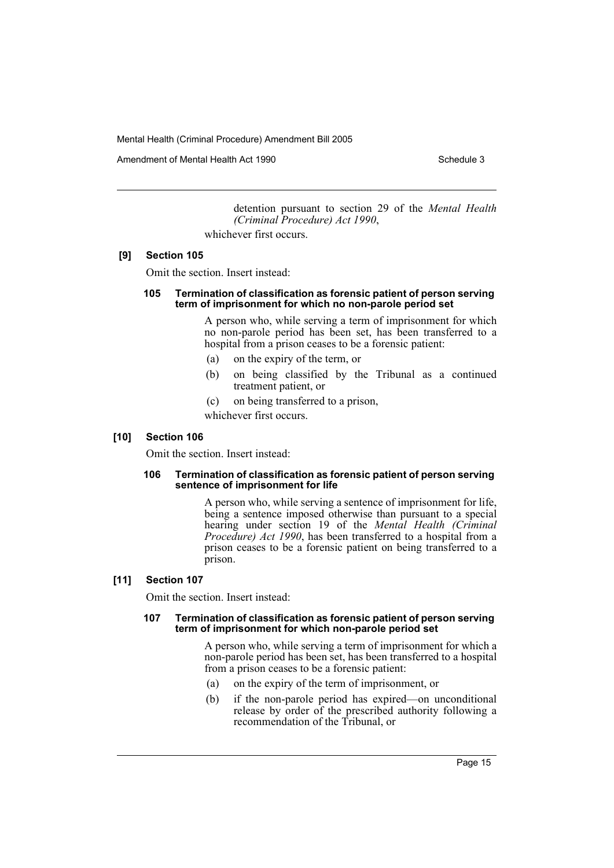Amendment of Mental Health Act 1990 Schedule 3

detention pursuant to section 29 of the *Mental Health (Criminal Procedure) Act 1990*,

whichever first occurs.

## **[9] Section 105**

Omit the section. Insert instead:

#### **105 Termination of classification as forensic patient of person serving term of imprisonment for which no non-parole period set**

A person who, while serving a term of imprisonment for which no non-parole period has been set, has been transferred to a hospital from a prison ceases to be a forensic patient:

- (a) on the expiry of the term, or
- (b) on being classified by the Tribunal as a continued treatment patient, or
- (c) on being transferred to a prison,

whichever first occurs.

## **[10] Section 106**

Omit the section. Insert instead:

#### **106 Termination of classification as forensic patient of person serving sentence of imprisonment for life**

A person who, while serving a sentence of imprisonment for life, being a sentence imposed otherwise than pursuant to a special hearing under section 19 of the *Mental Health (Criminal Procedure) Act 1990*, has been transferred to a hospital from a prison ceases to be a forensic patient on being transferred to a prison.

## **[11] Section 107**

Omit the section. Insert instead:

#### **107 Termination of classification as forensic patient of person serving term of imprisonment for which non-parole period set**

A person who, while serving a term of imprisonment for which a non-parole period has been set, has been transferred to a hospital from a prison ceases to be a forensic patient:

- (a) on the expiry of the term of imprisonment, or
- (b) if the non-parole period has expired—on unconditional release by order of the prescribed authority following a recommendation of the Tribunal, or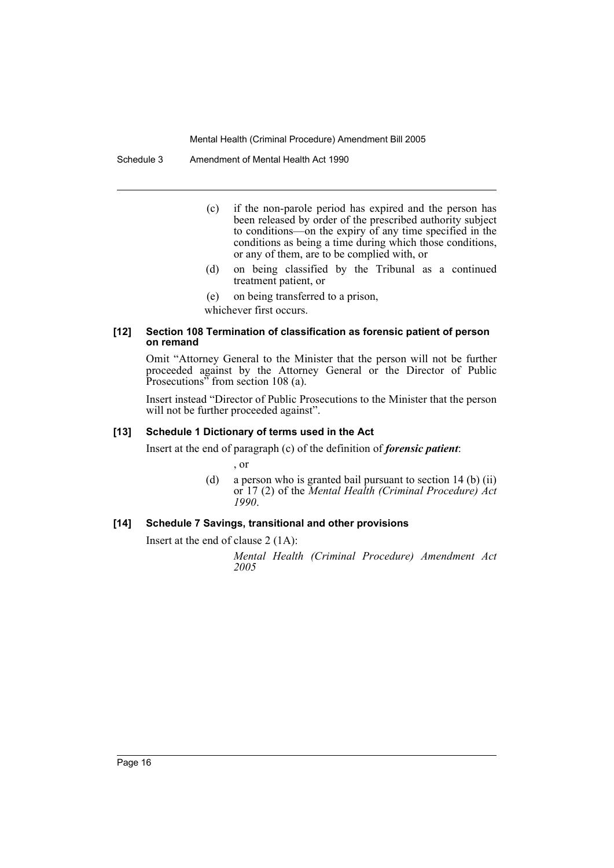Schedule 3 Amendment of Mental Health Act 1990

- (c) if the non-parole period has expired and the person has been released by order of the prescribed authority subject to conditions—on the expiry of any time specified in the conditions as being a time during which those conditions, or any of them, are to be complied with, or
- (d) on being classified by the Tribunal as a continued treatment patient, or
- (e) on being transferred to a prison,

whichever first occurs.

#### **[12] Section 108 Termination of classification as forensic patient of person on remand**

Omit "Attorney General to the Minister that the person will not be further proceeded against by the Attorney General or the Director of Public Prosecutions<sup>35</sup> from section 108 (a).

Insert instead "Director of Public Prosecutions to the Minister that the person will not be further proceeded against".

### **[13] Schedule 1 Dictionary of terms used in the Act**

Insert at the end of paragraph (c) of the definition of *forensic patient*:

, or

(d) a person who is granted bail pursuant to section 14 (b) (ii) or 17 (2) of the *Mental Health (Criminal Procedure) Act 1990*.

### **[14] Schedule 7 Savings, transitional and other provisions**

Insert at the end of clause 2 (1A):

*Mental Health (Criminal Procedure) Amendment Act 2005*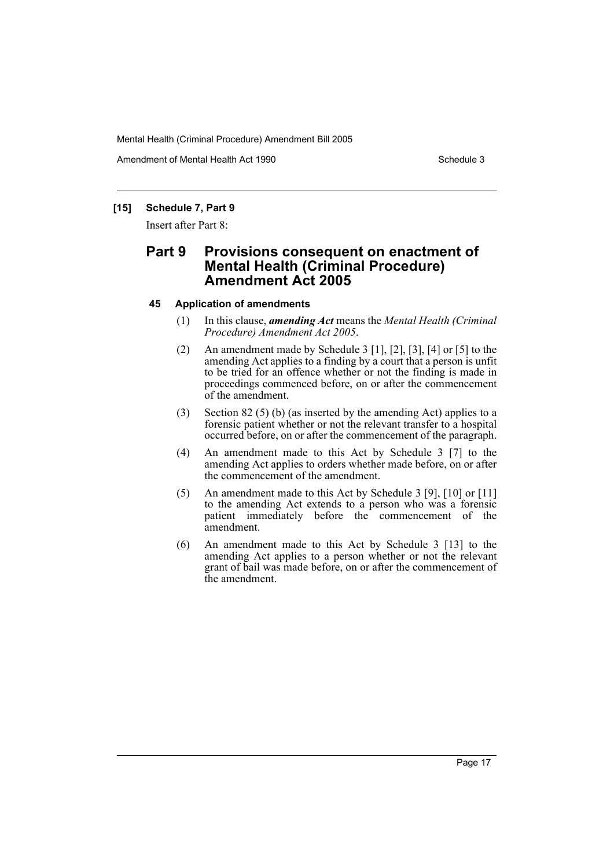Amendment of Mental Health Act 1990 Schedule 3

## **[15] Schedule 7, Part 9**

Insert after Part 8:

## **Part 9 Provisions consequent on enactment of Mental Health (Criminal Procedure) Amendment Act 2005**

## **45 Application of amendments**

- (1) In this clause, *amending Act* means the *Mental Health (Criminal Procedure) Amendment Act 2005*.
- (2) An amendment made by Schedule 3 [1], [2], [3], [4] or [5] to the amending Act applies to a finding by a court that a person is unfit to be tried for an offence whether or not the finding is made in proceedings commenced before, on or after the commencement of the amendment.
- (3) Section 82 (5) (b) (as inserted by the amending Act) applies to a forensic patient whether or not the relevant transfer to a hospital occurred before, on or after the commencement of the paragraph.
- (4) An amendment made to this Act by Schedule 3 [7] to the amending Act applies to orders whether made before, on or after the commencement of the amendment.
- (5) An amendment made to this Act by Schedule 3 [9], [10] or [11] to the amending Act extends to a person who was a forensic patient immediately before the commencement of the amendment.
- (6) An amendment made to this Act by Schedule 3 [13] to the amending Act applies to a person whether or not the relevant grant of bail was made before, on or after the commencement of the amendment.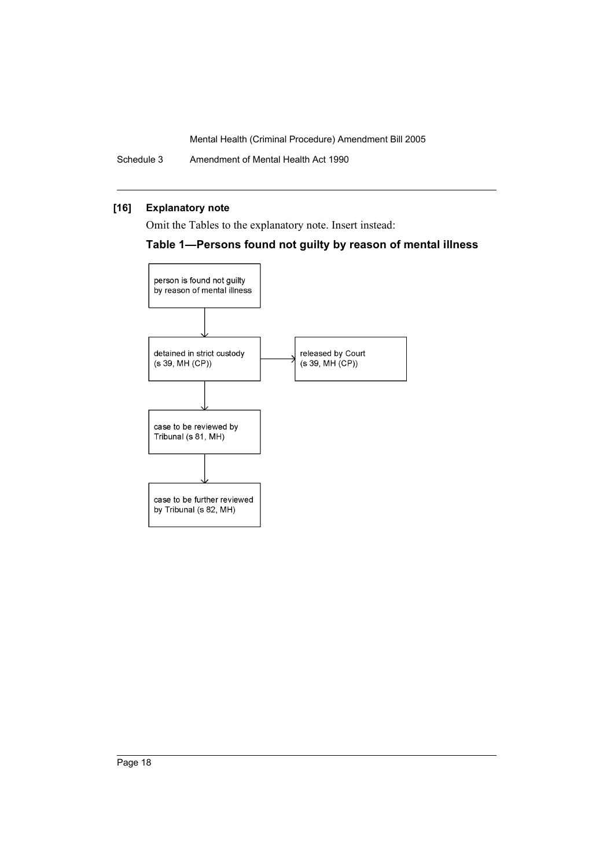Schedule 3 Amendment of Mental Health Act 1990

## **[16] Explanatory note**

Omit the Tables to the explanatory note. Insert instead:

## **Table 1—Persons found not guilty by reason of mental illness**

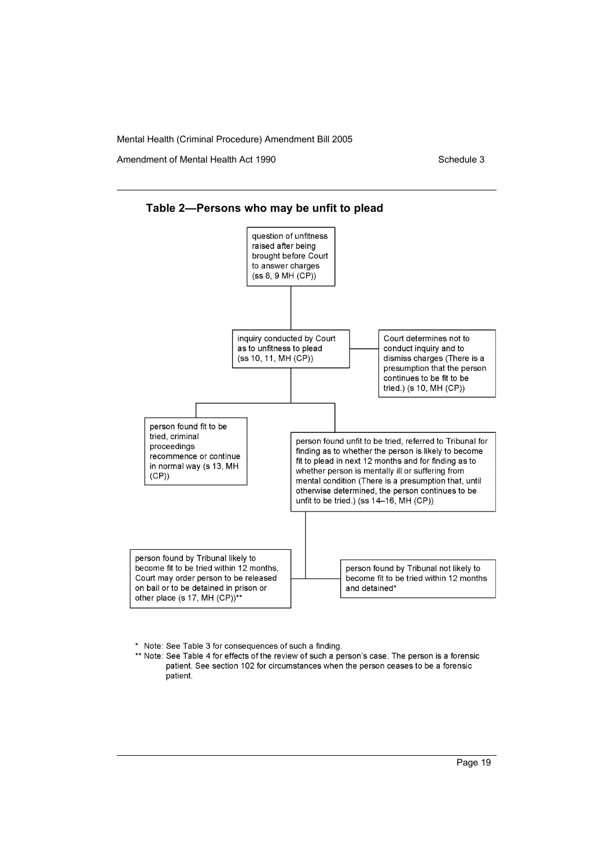Amendment of Mental Health Act 1990 Schedule 3





\* Note: See Table 3 for consequences of such a finding.

\*\* Note: See Table 4 for effects of the review of such a person's case. The person is a forensic patient. See section 102 for circumstances when the person ceases to be a forensic patient.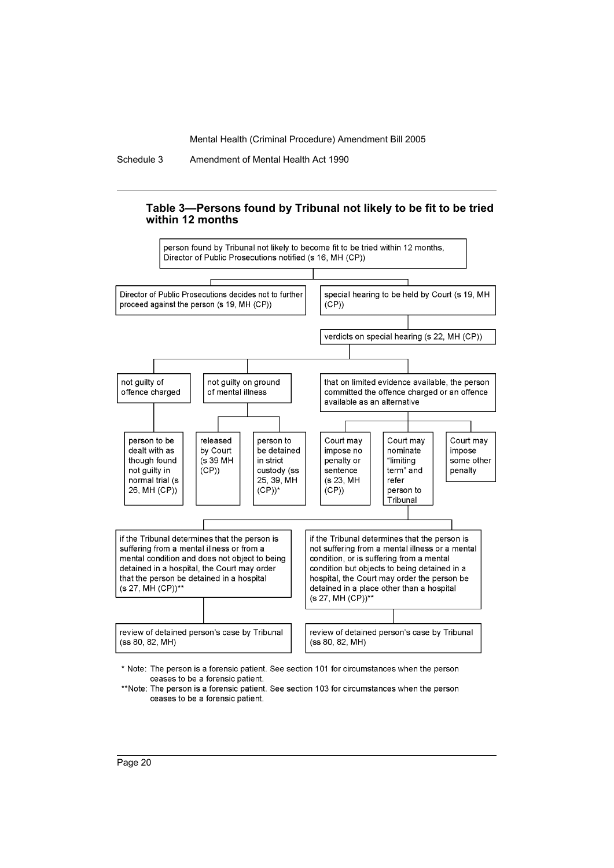Schedule 3 Amendment of Mental Health Act 1990

## **Table 3—Persons found by Tribunal not likely to be fit to be tried within 12 months**



\* Note: The person is a forensic patient. See section 101 for circumstances when the person ceases to be a forensic patient.

\*\*Note: The person is a forensic patient. See section 103 for circumstances when the person ceases to be a forensic patient.